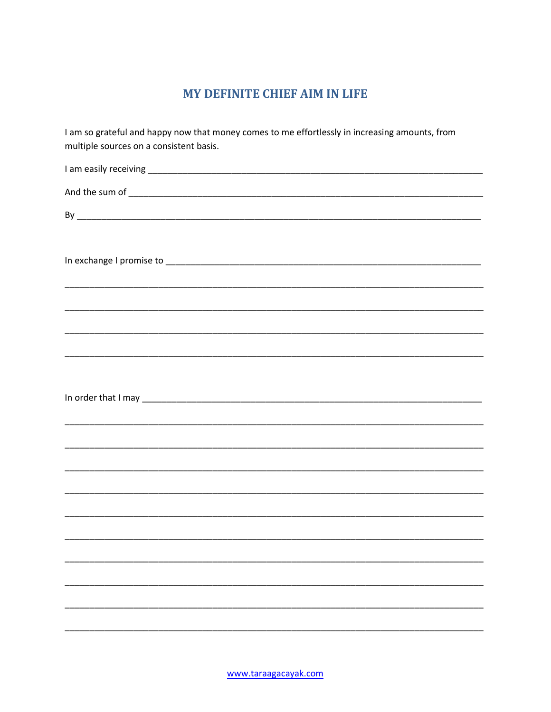# MY DEFINITE CHIEF AIM IN LIFE

| I am so grateful and happy now that money comes to me effortlessly in increasing amounts, from<br>multiple sources on a consistent basis.          |  |  |  |  |  |  |
|----------------------------------------------------------------------------------------------------------------------------------------------------|--|--|--|--|--|--|
|                                                                                                                                                    |  |  |  |  |  |  |
|                                                                                                                                                    |  |  |  |  |  |  |
|                                                                                                                                                    |  |  |  |  |  |  |
|                                                                                                                                                    |  |  |  |  |  |  |
|                                                                                                                                                    |  |  |  |  |  |  |
|                                                                                                                                                    |  |  |  |  |  |  |
| ,我们也不能在这里的时候,我们也不能在这里的时候,我们也不能在这里的时候,我们也不能会不能会不能会不能会不能会不能会不能会。<br>第251章 我们的时候,我们的时候,我们的时候,我们的时候,我们的时候,我们的时候,我们的时候,我们的时候,我们的时候,我们的时候,我们的时候,我们的时候,我们 |  |  |  |  |  |  |
|                                                                                                                                                    |  |  |  |  |  |  |
|                                                                                                                                                    |  |  |  |  |  |  |
|                                                                                                                                                    |  |  |  |  |  |  |
|                                                                                                                                                    |  |  |  |  |  |  |
|                                                                                                                                                    |  |  |  |  |  |  |
|                                                                                                                                                    |  |  |  |  |  |  |
|                                                                                                                                                    |  |  |  |  |  |  |
|                                                                                                                                                    |  |  |  |  |  |  |
|                                                                                                                                                    |  |  |  |  |  |  |
|                                                                                                                                                    |  |  |  |  |  |  |
|                                                                                                                                                    |  |  |  |  |  |  |
|                                                                                                                                                    |  |  |  |  |  |  |
|                                                                                                                                                    |  |  |  |  |  |  |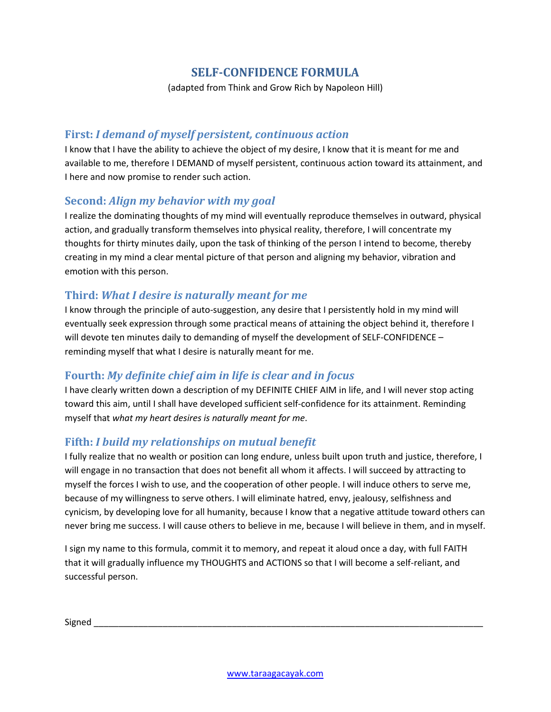# **SELF-CONFIDENCE FORMULA**

(adapted from Think and Grow Rich by Napoleon Hill)

#### **First:** *I demand of myself persistent, continuous action*

I know that I have the ability to achieve the object of my desire, I know that it is meant for me and available to me, therefore I DEMAND of myself persistent, continuous action toward its attainment, and I here and now promise to render such action.

#### **Second:** *Align my behavior with my goal*

I realize the dominating thoughts of my mind will eventually reproduce themselves in outward, physical action, and gradually transform themselves into physical reality, therefore, I will concentrate my thoughts for thirty minutes daily, upon the task of thinking of the person I intend to become, thereby creating in my mind a clear mental picture of that person and aligning my behavior, vibration and emotion with this person.

#### **Third:** *What I desire is naturally meant for me*

I know through the principle of auto-suggestion, any desire that I persistently hold in my mind will eventually seek expression through some practical means of attaining the object behind it, therefore I will devote ten minutes daily to demanding of myself the development of SELF-CONFIDENCE – reminding myself that what I desire is naturally meant for me.

## **Fourth:** *My definite chief aim in life is clear and in focus*

I have clearly written down a description of my DEFINITE CHIEF AIM in life, and I will never stop acting toward this aim, until I shall have developed sufficient self-confidence for its attainment. Reminding myself that *what my heart desires is naturally meant for me*.

## **Fifth:** *I build my relationships on mutual benefit*

I fully realize that no wealth or position can long endure, unless built upon truth and justice, therefore, I will engage in no transaction that does not benefit all whom it affects. I will succeed by attracting to myself the forces I wish to use, and the cooperation of other people. I will induce others to serve me, because of my willingness to serve others. I will eliminate hatred, envy, jealousy, selfishness and cynicism, by developing love for all humanity, because I know that a negative attitude toward others can never bring me success. I will cause others to believe in me, because I will believe in them, and in myself.

I sign my name to this formula, commit it to memory, and repeat it aloud once a day, with full FAITH that it will gradually influence my THOUGHTS and ACTIONS so that I will become a self-reliant, and successful person.

Signed \_\_\_\_\_\_\_\_\_\_\_\_\_\_\_\_\_\_\_\_\_\_\_\_\_\_\_\_\_\_\_\_\_\_\_\_\_\_\_\_\_\_\_\_\_\_\_\_\_\_\_\_\_\_\_\_\_\_\_\_\_\_\_\_\_\_\_\_\_\_\_\_\_\_\_\_\_\_\_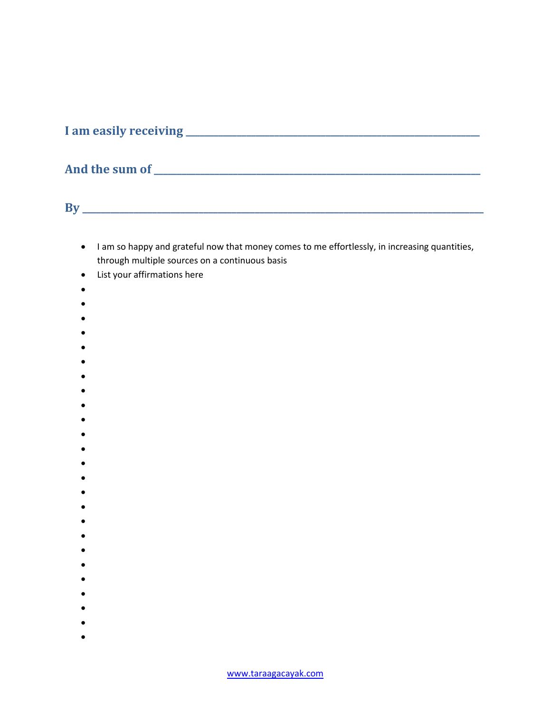**I am easily receiving \_\_\_\_\_\_\_\_\_\_\_\_\_\_\_\_\_\_\_\_\_\_\_\_\_\_\_\_\_\_\_\_\_\_\_\_\_\_\_\_\_\_\_\_\_\_\_\_\_\_\_\_\_\_\_\_\_\_\_\_\_\_\_**

# **And the sum of \_\_\_\_\_\_\_\_\_\_\_\_\_\_\_\_\_\_\_\_\_\_\_\_\_\_\_\_\_\_\_\_\_\_\_\_\_\_\_\_\_\_\_\_\_\_\_\_\_\_\_\_\_\_\_\_\_\_\_\_\_\_\_\_\_\_\_\_\_\_**

**By \_\_\_\_\_\_\_\_\_\_\_\_\_\_\_\_\_\_\_\_\_\_\_\_\_\_\_\_\_\_\_\_\_\_\_\_\_\_\_\_\_\_\_\_\_\_\_\_\_\_\_\_\_\_\_\_\_\_\_\_\_\_\_\_\_\_\_\_\_\_\_\_\_\_\_\_\_\_\_\_\_\_\_\_\_\_**

- I am so happy and grateful now that money comes to me effortlessly, in increasing quantities, through multiple sources on a continuous basis
- List your affirmations here
- •
- •
- 
- •
- 
- •
- •
- •
- •
- •
- •
- 
- •
- •
- •
- •
- •
- •
- •
- •
- •
- •
- •
- •
- 
- •
- •
- •